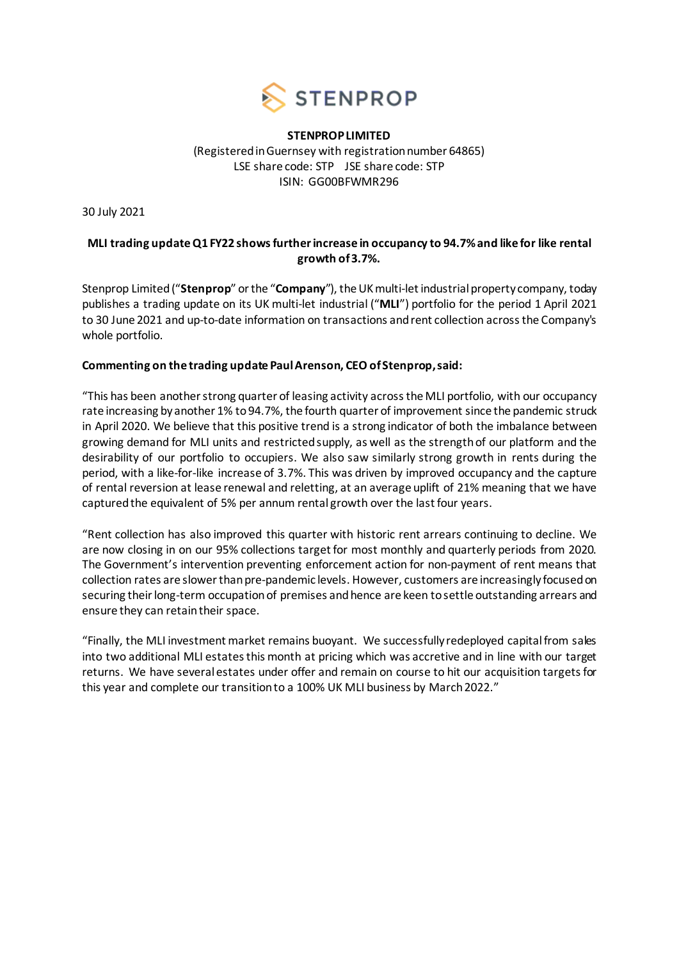

## **STENPROP LIMITED** (Registered in Guernsey with registration number 64865) LSE share code: STP JSE share code: STP ISIN: GG00BFWMR296

30 July 2021

# **MLI trading update Q1 FY22 shows furtherincrease in occupancy to 94.7%and like for like rental growth of 3.7%.**

Stenprop Limited ("**Stenprop**" or the "**Company**"), the UK multi-let industrial property company, today publishes a trading update on its UK multi-let industrial ("**MLI**") portfolio for the period 1 April 2021 to 30 June 2021 and up-to-date information on transactions and rent collection across the Company's whole portfolio.

## **Commenting on the trading update Paul Arenson, CEO of Stenprop, said:**

"This has been another strong quarter of leasing activity across the MLI portfolio, with our occupancy rate increasing by another 1% to 94.7%, the fourth quarter of improvement since the pandemic struck in April 2020. We believe that this positive trend is a strong indicator of both the imbalance between growing demand for MLI units and restricted supply, as well as the strength of our platform and the desirability of our portfolio to occupiers. We also saw similarly strong growth in rents during the period, with a like-for-like increase of 3.7%. This was driven by improved occupancy and the capture of rental reversion at lease renewal and reletting, at an average uplift of 21% meaning that we have capturedthe equivalent of 5% per annum rental growth over the last four years.

"Rent collection has also improved this quarter with historic rent arrears continuing to decline. We are now closing in on our 95% collections target for most monthly and quarterly periods from 2020. The Government's intervention preventing enforcement action for non-payment of rent means that collection rates are slower than pre-pandemic levels. However, customers are increasingly focused on securing their long-term occupation of premises and hence are keen to settle outstanding arrears and ensure they can retain their space.

"Finally, the MLI investment market remains buoyant. We successfully redeployed capital from sales into two additional MLI estates this month at pricing which was accretive and in line with our target returns. We have several estates under offer and remain on course to hit our acquisition targets for this year and complete our transition to a 100% UK MLI business by March 2022."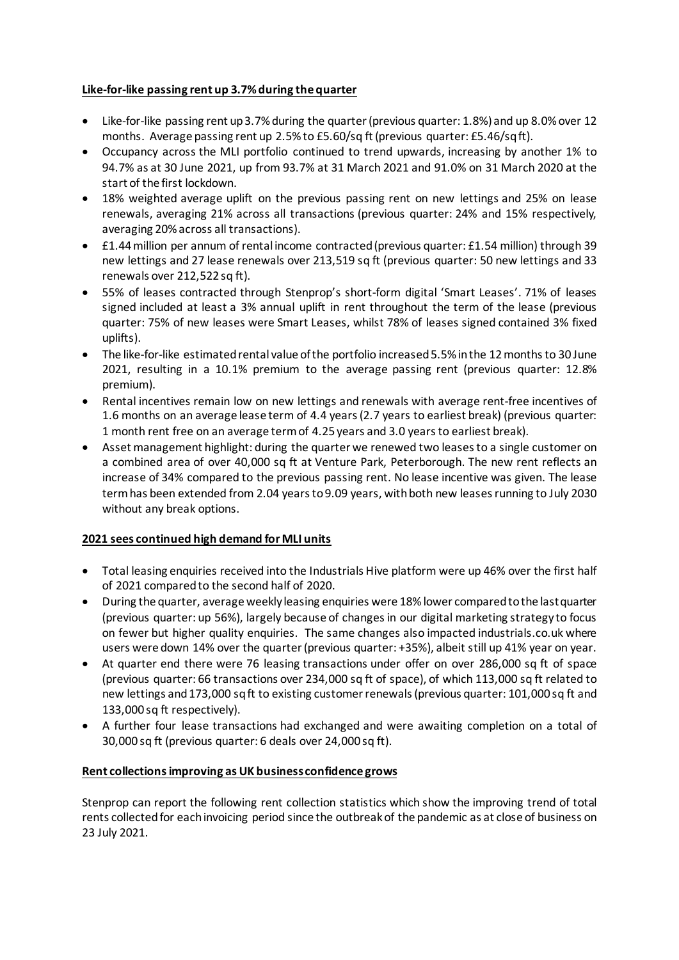# **Like-for-like passing rent up 3.7% during the quarter**

- Like-for-like passing rent up 3.7% during the quarter (previous quarter: 1.8%) and up 8.0% over 12 months. Average passing rent up 2.5% to £5.60/sq ft (previous quarter: £5.46/sq ft).
- Occupancy across the MLI portfolio continued to trend upwards, increasing by another 1% to 94.7% as at 30 June 2021, up from 93.7% at 31 March 2021 and 91.0% on 31 March 2020 at the start of the first lockdown.
- 18% weighted average uplift on the previous passing rent on new lettings and 25% on lease renewals, averaging 21% across all transactions (previous quarter: 24% and 15% respectively, averaging 20% across all transactions).
- £1.44million per annum of rental income contracted (previous quarter: £1.54 million) through 39 new lettings and 27 lease renewals over 213,519 sq ft (previous quarter: 50 new lettings and 33 renewals over 212,522 sq ft).
- 55% of leases contracted through Stenprop's short-form digital 'Smart Leases'. 71% of leases signed included at least a 3% annual uplift in rent throughout the term of the lease (previous quarter: 75% of new leases were Smart Leases, whilst 78% of leases signed contained 3% fixed uplifts).
- The like-for-like estimated rental value of the portfolio increased 5.5% in the 12 months to 30 June 2021, resulting in a 10.1% premium to the average passing rent (previous quarter: 12.8% premium).
- Rental incentives remain low on new lettings and renewals with average rent-free incentives of 1.6 months on an average lease term of 4.4 years (2.7 years to earliest break) (previous quarter: 1 month rent free on an average term of 4.25 years and 3.0 years to earliest break).
- Asset management highlight: during the quarter we renewed two leases to a single customer on a combined area of over 40,000 sq ft at Venture Park, Peterborough. The new rent reflects an increase of 34% compared to the previous passing rent. No lease incentive was given. The lease termhas been extended from 2.04 years to 9.09 years, with both new leases running to July 2030 without any break options.

# **2021 sees continued high demand for MLI units**

- Total leasing enquiries received into the Industrials Hive platform were up 46% over the first half of 2021 compared to the second half of 2020.
- During the quarter, average weekly leasing enquiries were 18% lower compared to the last quarter (previous quarter: up 56%), largely because of changes in our digital marketing strategy to focus on fewer but higher quality enquiries. The same changes also impacted industrials.co.uk where users were down 14% over the quarter (previous quarter: +35%), albeit still up 41% year on year.
- At quarter end there were 76 leasing transactions under offer on over 286,000 sq ft of space (previous quarter: 66 transactions over 234,000 sq ft of space), of which 113,000 sq ft related to new lettings and 173,000 sq ft to existing customer renewals(previous quarter: 101,000 sq ft and 133,000 sq ft respectively).
- A further four lease transactions had exchanged and were awaiting completion on a total of 30,000 sq ft (previous quarter: 6 deals over 24,000 sq ft).

## **Rent collections improving as UK business confidence grows**

Stenprop can report the following rent collection statistics which show the improving trend of total rents collected for eachinvoicing period since the outbreak of the pandemic as at close of business on 23 July 2021.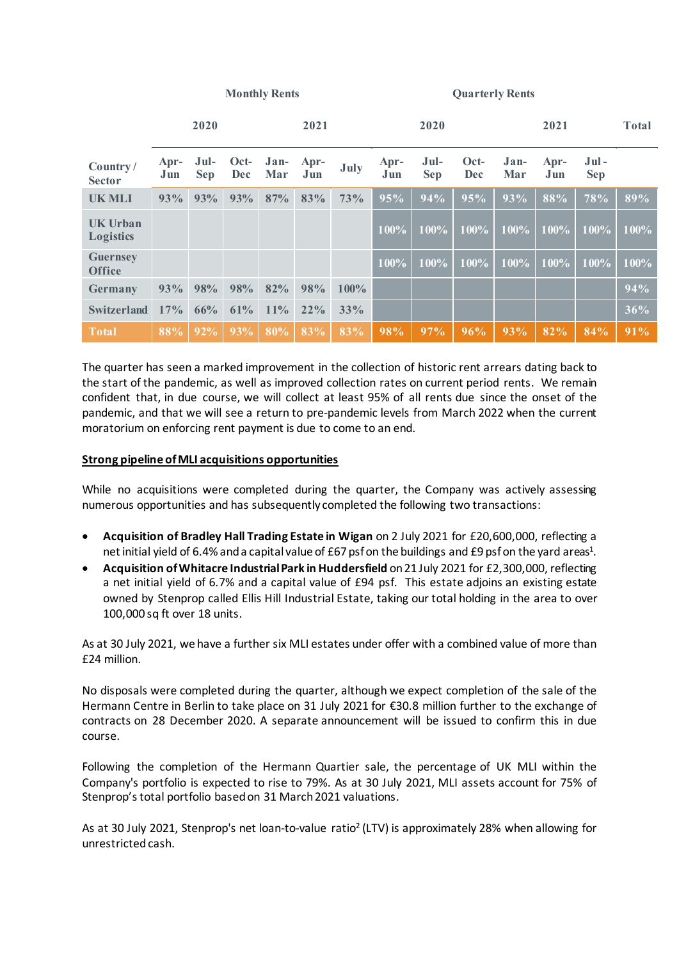| <b>Monthly Rents</b> |  |
|----------------------|--|
|----------------------|--|

**Monthly Rents Quarterly Rents**

|                                     |             | 2020               |                      |             | 2021        |      |             | 2020               |                    |             | 2021        |                       | <b>Total</b> |
|-------------------------------------|-------------|--------------------|----------------------|-------------|-------------|------|-------------|--------------------|--------------------|-------------|-------------|-----------------------|--------------|
| Country/<br><b>Sector</b>           | Apr-<br>Jun | Jul-<br><b>Sep</b> | $Oct-$<br><b>Dec</b> | Jan-<br>Mar | Apr-<br>Jun | July | Apr-<br>Jun | Jul-<br><b>Sep</b> | Oct-<br><b>Dec</b> | Jan-<br>Mar | Apr-<br>Jun | $Jul -$<br><b>Sep</b> |              |
| <b>UK MLI</b>                       | 93%         | 93%                | 93%                  | 87%         | 83%         | 73%  | 95%         | 94%                | 95%                | 93%         | 88%         | $78\%$                | 89%          |
| <b>UK Urban</b><br><b>Logistics</b> |             |                    |                      |             |             |      | 100%        | 100%               | 100%               | 100%        | 100%        | 100%                  | 100%         |
| <b>Guernsey</b><br><b>Office</b>    |             |                    |                      |             |             |      | 100%        | 100%               | 100%               | 100%        | 100%        | 100%                  | 100%         |
| Germany                             | 93%         | 98%                | 98%                  | 82%         | 98%         | 100% |             |                    |                    |             |             |                       | 94%          |
| <b>Switzerland</b>                  | 17%         | 66%                | 61%                  | 11%         | $22\%$      | 33%  |             |                    |                    |             |             |                       | 36%          |
| <b>Total</b>                        | 88%         | 92%                | 93%                  | 80%         | 83%         | 83%  | 98%         | 97%                | 96%                | 93%         | 82%         | 84%                   | 91%          |

The quarter has seen a marked improvement in the collection of historic rent arrears dating back to the start of the pandemic, as well as improved collection rates on current period rents. We remain confident that, in due course, we will collect at least 95% of all rents due since the onset of the pandemic, and that we will see a return to pre-pandemic levels from March 2022 when the current moratorium on enforcing rent payment is due to come to an end.

## **Strong pipeline of MLI acquisitions opportunities**

While no acquisitions were completed during the quarter, the Company was actively assessing numerous opportunities and has subsequently completed the following two transactions:

- **Acquisition of Bradley Hall Trading Estate in Wigan** on 2 July 2021 for £20,600,000, reflecting a net initial yield of 6.4% and a capital value of £67 psf on the buildings and £9 psf on the yard areas<sup>1</sup>.
- **Acquisition of Whitacre Industrial Park in Huddersfield** on 21 July 2021 for £2,300,000, reflecting a net initial yield of 6.7% and a capital value of £94 psf. This estate adjoins an existing estate owned by Stenprop called Ellis Hill Industrial Estate, taking our total holding in the area to over 100,000 sq ft over 18 units.

As at 30 July 2021, we have a further six MLI estates under offer with a combined value of more than £24 million.

No disposals were completed during the quarter, although we expect completion of the sale of the Hermann Centre in Berlin to take place on 31 July 2021 for €30.8 million further to the exchange of contracts on 28 December 2020. A separate announcement will be issued to confirm this in due course.

Following the completion of the Hermann Quartier sale, the percentage of UK MLI within the Company's portfolio is expected to rise to 79%. As at 30 July 2021, MLI assets account for 75% of Stenprop's total portfolio based on 31 March 2021 valuations.

As at 30 July 2021, Stenprop's net loan-to-value ratio2 (LTV) is approximately 28% when allowing for unrestricted cash.